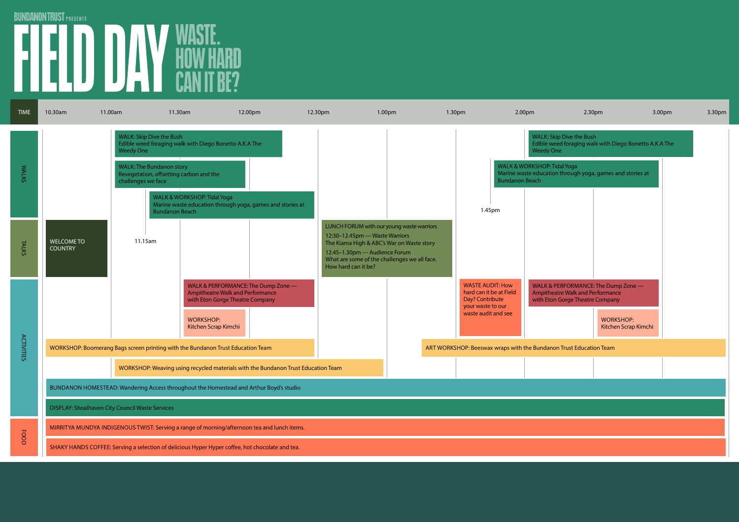## BUNDANONTRUST PRESENTS<br> **EN LE LO DA VASTE.**<br>
CAN IT BE?

| <b>TIME</b>       | 10.30am                                                                                         | 11.00am                                                                                                      | 11.30am                                                                                                                                                   | 12.00pm                                                                                                    | 12.30pm                                                                                | 1.00pm                                                                                                                                 | 1.30pm                                                                                                            | 2.00 <sub>pm</sub>                                                                  | 2.30pm                                                                                                                                                 | 3.00pm | 3.30 <sub>pm</sub> |
|-------------------|-------------------------------------------------------------------------------------------------|--------------------------------------------------------------------------------------------------------------|-----------------------------------------------------------------------------------------------------------------------------------------------------------|------------------------------------------------------------------------------------------------------------|----------------------------------------------------------------------------------------|----------------------------------------------------------------------------------------------------------------------------------------|-------------------------------------------------------------------------------------------------------------------|-------------------------------------------------------------------------------------|--------------------------------------------------------------------------------------------------------------------------------------------------------|--------|--------------------|
| <b>WALKS</b>      |                                                                                                 | <b>WALK: Skip Dive the Bush</b><br><b>Weedy One</b><br><b>WALK: The Bundanon story</b><br>challenges we face | Edible weed foraging walk with Diego Bonetto A.K.A The<br>Revegetation, offsetting carbon and the<br>WALK & WORKSHOP: Tidal Yoga<br><b>Bundanon Beach</b> | Marine waste education through yoga, games and stories at                                                  |                                                                                        |                                                                                                                                        | 1.45pm                                                                                                            | <b>Weedy One</b><br><b>WALK &amp; WORKSHOP: Tidal Yoga</b><br><b>Bundanon Beach</b> | <b>WALK: Skip Dive the Bush</b><br>Edible weed foraging walk with Diego Bonetto A.K.A The<br>Marine waste education through yoga, games and stories at |        |                    |
| TALKS             | <b>WELCOME TO</b><br><b>COUNTRY</b>                                                             | 11.15am                                                                                                      |                                                                                                                                                           |                                                                                                            | 12:30-12.45pm - Waste Warriors<br>12.45-1.30pm - Audience Forum<br>How hard can it be? | LUNCH FORUM with our young waste warriors<br>The Kiama High & ABC's War on Waste story<br>What are some of the challenges we all face. |                                                                                                                   |                                                                                     |                                                                                                                                                        |        |                    |
| <b>ACTIVITIES</b> |                                                                                                 |                                                                                                              | <b>WORKSHOP:</b><br>Kitchen Scrap Kimchi                                                                                                                  | WALK & PERFORMANCE: The Dump Zone -<br>Ampitheatre Walk and Performance<br>with Eton Gorge Theatre Company |                                                                                        |                                                                                                                                        | <b>WASTE AUDIT: How</b><br>hard can it be at Field<br>Day? Contribute<br>your waste to our<br>waste audit and see |                                                                                     | WALK & PERFORMANCE: The Dump Zone -<br>Ampitheatre Walk and Performance<br>with Eton Gorge Theatre Company<br><b>WORKSHOP:</b><br>Kitchen Scrap Kimchi |        |                    |
|                   | WORKSHOP: Boomerang Bags screen printing with the Bundanon Trust Education Team                 |                                                                                                              |                                                                                                                                                           |                                                                                                            |                                                                                        | ART WORKSHOP: Beeswax wraps with the Bundanon Trust Education Team                                                                     |                                                                                                                   |                                                                                     |                                                                                                                                                        |        |                    |
|                   | WORKSHOP: Weaving using recycled materials with the Bundanon Trust Education Team               |                                                                                                              |                                                                                                                                                           |                                                                                                            |                                                                                        |                                                                                                                                        |                                                                                                                   |                                                                                     |                                                                                                                                                        |        |                    |
|                   | BUNDANON HOMESTEAD: Wandering Access throughout the Homestead and Arthur Boyd's studio          |                                                                                                              |                                                                                                                                                           |                                                                                                            |                                                                                        |                                                                                                                                        |                                                                                                                   |                                                                                     |                                                                                                                                                        |        |                    |
|                   | DISPLAY: Shoalhaven City Council Waste Services                                                 |                                                                                                              |                                                                                                                                                           |                                                                                                            |                                                                                        |                                                                                                                                        |                                                                                                                   |                                                                                     |                                                                                                                                                        |        |                    |
| <b>FOOD</b>       | MIRRITYA MUNDYA INDIGENOUS TWIST: Serving a range of morning/afternoon tea and lunch items.     |                                                                                                              |                                                                                                                                                           |                                                                                                            |                                                                                        |                                                                                                                                        |                                                                                                                   |                                                                                     |                                                                                                                                                        |        |                    |
|                   | SHAKY HANDS COFFEE: Serving a selection of delicious Hyper Hyper coffee, hot chocolate and tea. |                                                                                                              |                                                                                                                                                           |                                                                                                            |                                                                                        |                                                                                                                                        |                                                                                                                   |                                                                                     |                                                                                                                                                        |        |                    |